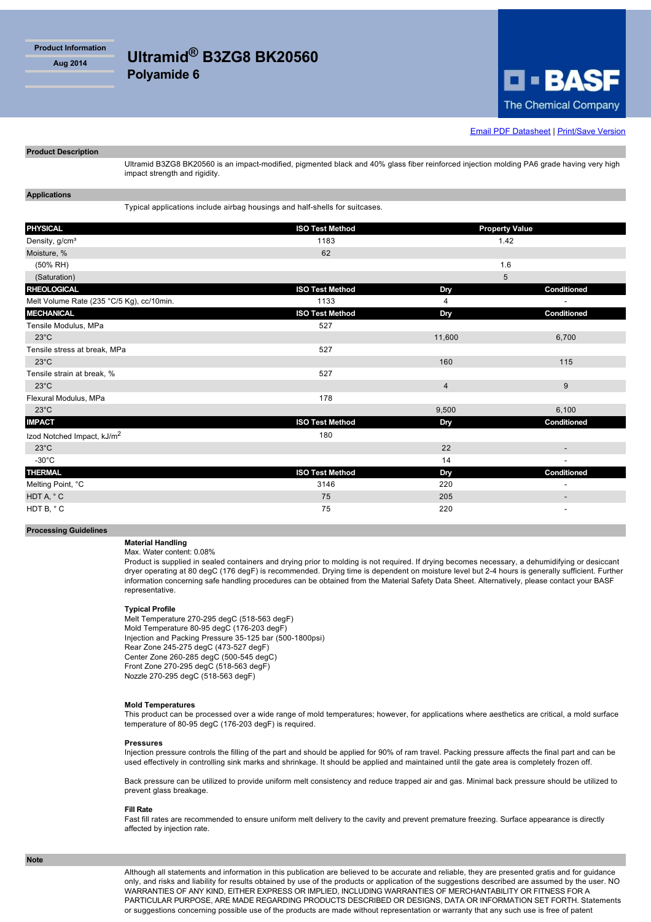**Product Information**

# **Aug 2014 Ultramid® B3ZG8 BK20560**

**Polyamide 6**

impact strength and rigidity.



**[Email PDF Datasheet](http://iwww.plasticsportal.com/products/emailform.html?type=iso¶m=Ultramid+B3ZG8+BK20560) | [Print/Save Version](http://iwww.plasticsportal.com/products/dspdf.php?type=iso¶m=Ultramid+B3ZG8+BK20560)** 

## **Applications**

**Product Description**

Typical applications include airbag housings and half-shells for suitcases.

| <b>PHYSICAL</b>                           | <b>ISO Test Method</b> | <b>Property Value</b> |                          |
|-------------------------------------------|------------------------|-----------------------|--------------------------|
| Density, g/cm <sup>3</sup>                | 1183                   | 1.42                  |                          |
| Moisture, %                               | 62                     |                       |                          |
| (50% RH)                                  |                        | 1.6                   |                          |
| (Saturation)                              |                        | 5                     |                          |
| <b>RHEOLOGICAL</b>                        | <b>ISO Test Method</b> | Dry                   | Conditioned              |
| Melt Volume Rate (235 °C/5 Kg), cc/10min. | 1133                   | 4                     | $\blacksquare$           |
| <b>MECHANICAL</b>                         | <b>ISO Test Method</b> | Dry                   | Conditioned              |
| Tensile Modulus, MPa                      | 527                    |                       |                          |
| $23^{\circ}$ C                            |                        | 11,600                | 6,700                    |
| Tensile stress at break, MPa              | 527                    |                       |                          |
| $23^{\circ}$ C                            |                        | 160                   | 115                      |
| Tensile strain at break, %                | 527                    |                       |                          |
| $23^{\circ}$ C                            |                        | $\overline{4}$        | 9                        |
| Flexural Modulus, MPa                     | 178                    |                       |                          |
| $23^{\circ}$ C                            |                        | 9,500                 | 6,100                    |
| <b>IMPACT</b>                             | <b>ISO Test Method</b> | Dry                   | Conditioned              |
| Izod Notched Impact, kJ/m <sup>2</sup>    | 180                    |                       |                          |
| $23^{\circ}$ C                            |                        | 22                    | $\overline{\phantom{a}}$ |
| $-30^{\circ}$ C                           |                        | 14                    | $\overline{\phantom{a}}$ |
| <b>THERMAL</b>                            | <b>ISO Test Method</b> | Dry                   | Conditioned              |
| Melting Point, °C                         | 3146                   | 220                   | $\overline{\phantom{a}}$ |
| HDT A, °C                                 | 75                     | 205                   | $\overline{\phantom{a}}$ |
| HDT B, °C                                 | 75                     | 220                   | $\overline{\phantom{a}}$ |

#### **Processing Guidelines**

### **Material Handling** Max. Water content: 0.08%

Product is supplied in sealed containers and drying prior to molding is not required. If drying becomes necessary, a dehumidifying or desiccant dryer operating at 80 degC (176 degF) is recommended. Drying time is dependent on moisture level but 2-4 hours is generally sufficient. Further information concerning safe handling procedures can be obtained from the Material Safety Data Sheet. Alternatively, please contact your BASF representative.

Ultramid B3ZG8 BK20560 is an impact-modified, pigmented black and 40% glass fiber reinforced injection molding PA6 grade having very high

#### **Typical Profile**

Melt Temperature 270-295 degC (518-563 degF) Mold Temperature 80-95 degC (176-203 degF) Injection and Packing Pressure 35-125 bar (500-1800psi) Rear Zone 245-275 degC (473-527 degF) Center Zone 260-285 degC (500-545 degC) Front Zone 270-295 degC (518-563 degF) Nozzle 270-295 degC (518-563 degF)

#### **Mold Temperatures**

This product can be processed over a wide range of mold temperatures; however, for applications where aesthetics are critical, a mold surface temperature of 80-95 degC (176-203 degF) is required.

#### **Pressures**

Injection pressure controls the filling of the part and should be applied for 90% of ram travel. Packing pressure affects the final part and can be used effectively in controlling sink marks and shrinkage. It should be applied and maintained until the gate area is completely frozen off.

Back pressure can be utilized to provide uniform melt consistency and reduce trapped air and gas. Minimal back pressure should be utilized to prevent glass breakage.

#### **Fill Rate**

Fast fill rates are recommended to ensure uniform melt delivery to the cavity and prevent premature freezing. Surface appearance is directly affected by injection rate.

Although all statements and information in this publication are believed to be accurate and reliable, they are presented gratis and for guidance only, and risks and liability for results obtained by use of the products or application of the suggestions described are assumed by the user. NO WARRANTIES OF ANY KIND, EITHER EXPRESS OR IMPLIED, INCLUDING WARRANTIES OF MERCHANTABILITY OR FITNESS FOR A PARTICULAR PURPOSE, ARE MADE REGARDING PRODUCTS DESCRIBED OR DESIGNS, DATA OR INFORMATION SET FORTH. Statements or suggestions concerning possible use of the products are made without representation or warranty that any such use is free of patent